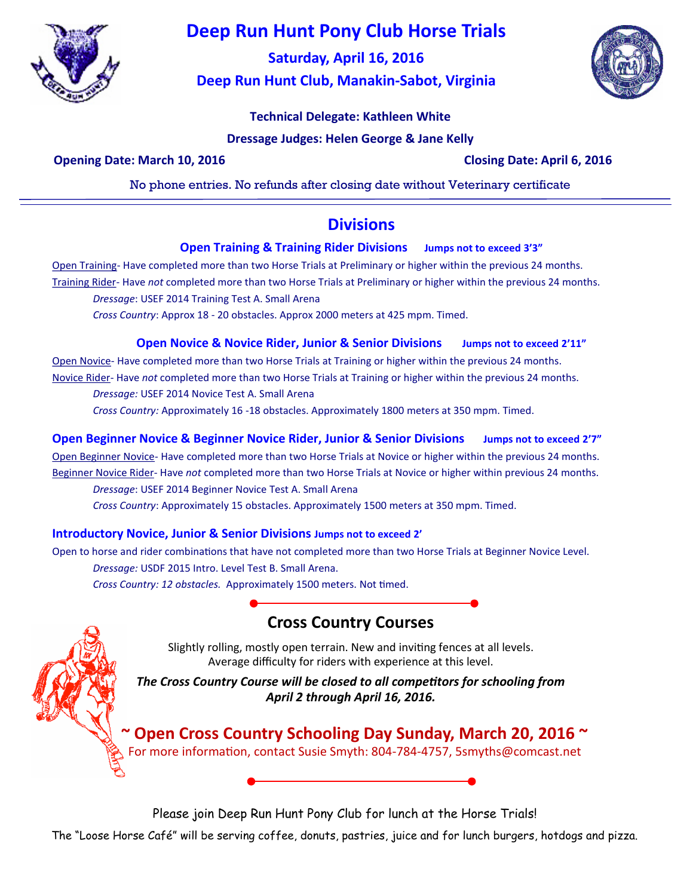

# **Deep Run Hunt Pony Club Horse Trials**

**Saturday, April 16, 2016 Deep Run Hunt Club, Manakin-Sabot, Virginia**



## **Technical Delegate: Kathleen White**

**Dressage Judges: Helen George & Jane Kelly**

**Opening Date: March 10, 2016 Closing Date: April 6, 2016**

No phone entries. No refunds after closing date without Veterinary certificate

## **Divisions**

### **Open Training & Training Rider Divisions Jumps not to exceed 3'3"**

Open Training- Have completed more than two Horse Trials at Preliminary or higher within the previous 24 months. Training Rider- Have *not* completed more than two Horse Trials at Preliminary or higher within the previous 24 months.

*Dressage*: USEF 2014 Training Test A. Small Arena

*Cross Country*: Approx 18 - 20 obstacles. Approx 2000 meters at 425 mpm. Timed.

### **Open Novice & Novice Rider, Junior & Senior Divisions Jumps not to exceed 2'11"**

Open Novice- Have completed more than two Horse Trials at Training or higher within the previous 24 months. Novice Rider- Have *not* completed more than two Horse Trials at Training or higher within the previous 24 months.

*Dressage:* USEF 2014 Novice Test A. Small Arena

*Cross Country:* Approximately 16 -18 obstacles. Approximately 1800 meters at 350 mpm. Timed.

**Open Beginner Novice & Beginner Novice Rider, Junior & Senior Divisions Jumps not to exceed 2'7"**

Open Beginner Novice- Have completed more than two Horse Trials at Novice or higher within the previous 24 months.

Beginner Novice Rider- Have *not* completed more than two Horse Trials at Novice or higher within previous 24 months. *Dressage*: USEF 2014 Beginner Novice Test A. Small Arena

*Cross Country*: Approximately 15 obstacles. Approximately 1500 meters at 350 mpm. Timed.

### **Introductory Novice, Junior & Senior Divisions Jumps not to exceed 2'**

Open to horse and rider combinations that have not completed more than two Horse Trials at Beginner Novice Level. *Dressage:* USDF 2015 Intro. Level Test B. Small Arena. *Cross Country: 12 obstacles.* Approximately 1500 meters. Not timed.

# **Cross Country Courses**

Slightly rolling, mostly open terrain. New and inviting fences at all levels. Average difficulty for riders with experience at this level.

*The Cross Country Course will be closed to all competitors for schooling from April 2 through April 16, 2016.*

**~ Open Cross Country Schooling Day Sunday, March 20, 2016 ~** For more information, contact Susie Smyth: 804-784-4757, 5smyths@comcast.net

Please join Deep Run Hunt Pony Club for lunch at the Horse Trials!

The "Loose Horse Café" will be serving coffee, donuts, pastries, juice and for lunch burgers, hotdogs and pizza.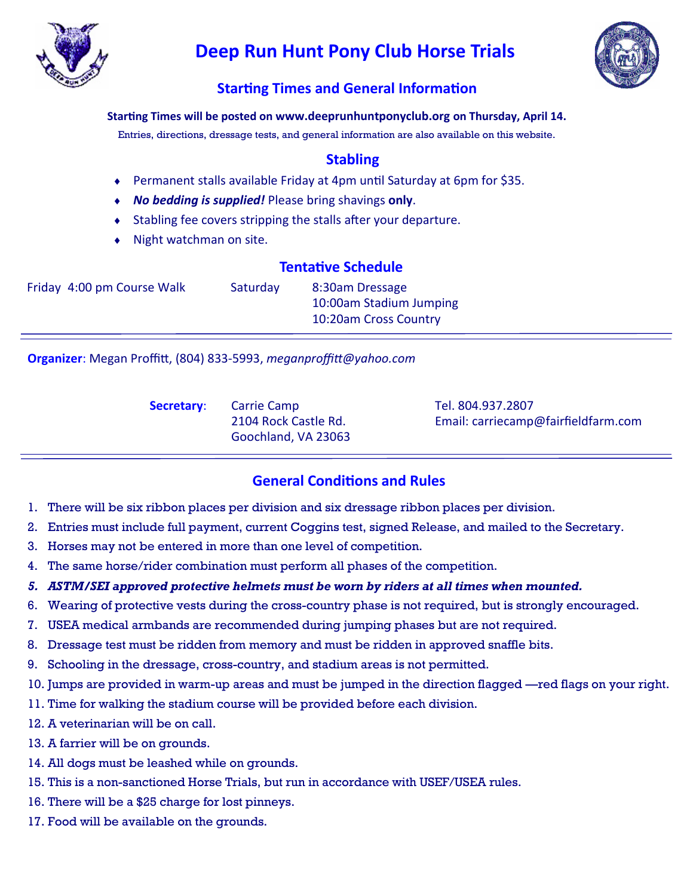

# **Deep Run Hunt Pony Club Horse Trials**



## **Starting Times and General Information**

### **Starting Times will be posted on www.deeprunhuntponyclub.org on Thursday, April 14.**

Entries, directions, dressage tests, and general information are also available on this website.

## **Stabling**

- Permanent stalls available Friday at 4pm until Saturday at 6pm for \$35.
- *No bedding is supplied!* Please bring shavings **only**.
- Stabling fee covers stripping the stalls after your departure.
- Night watchman on site.

## **Tentative Schedule**

| Friday 4:00 pm Course Walk | Saturday | 8:30am Dressage         |
|----------------------------|----------|-------------------------|
|                            |          | 10:00am Stadium Jumping |
|                            |          | 10:20am Cross Country   |

**Organizer**: Megan Proffitt, (804) 833-5993, *meganproffitt@yahoo.com*

**Secretary:** Carrie Camp Tel. 804.937.2807 Goochland, VA 23063

2104 Rock Castle Rd. Email: carriecamp@fairfieldfarm.com

## **General Conditions and Rules**

- 1. There will be six ribbon places per division and six dressage ribbon places per division.
- 2. Entries must include full payment, current Coggins test, signed Release, and mailed to the Secretary.
- 3. Horses may not be entered in more than one level of competition.
- 4. The same horse/rider combination must perform all phases of the competition.
- *5. ASTM/SEI approved protective helmets must be worn by riders at all times when mounted.*
- 6. Wearing of protective vests during the cross-country phase is not required, but is strongly encouraged.
- 7. USEA medical armbands are recommended during jumping phases but are not required.
- 8. Dressage test must be ridden from memory and must be ridden in approved snaffle bits.
- 9. Schooling in the dressage, cross-country, and stadium areas is not permitted.
- 10. Jumps are provided in warm-up areas and must be jumped in the direction flagged —red flags on your right.
- 11. Time for walking the stadium course will be provided before each division.
- 12. A veterinarian will be on call.
- 13. A farrier will be on grounds.
- 14. All dogs must be leashed while on grounds.
- 15. This is a non-sanctioned Horse Trials, but run in accordance with USEF/USEA rules.
- 16. There will be a \$25 charge for lost pinneys.
- 17. Food will be available on the grounds.